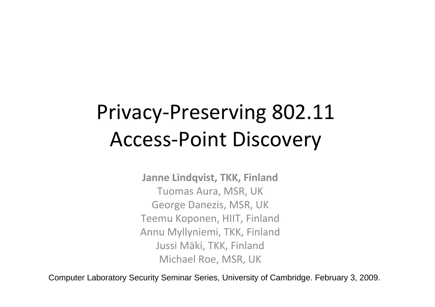### Privacy‐Preserving 802.11 Access‐Point Discovery

**Janne Lindqvist, TKK, Finland** Tuomas Aura, MSR, UK George Danezis, MSR, UK Teemu Koponen, HIIT, Finland Annu Myllyniemi, TKK, Finland Jussi Mäki, TKK, Finland Michael Roe, MSR, UK

Computer Laboratory Security Seminar Series, University of Cambridge. February 3, 2009.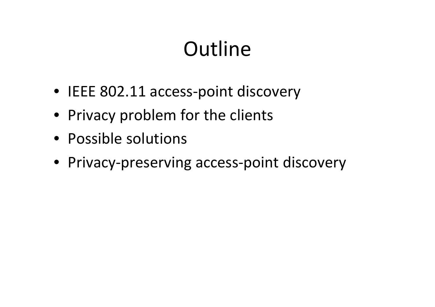### **Outline**

- IEEE 802.11 access‐point discovery
- Privacy problem for the clients
- Possible solutions
- Privacy‐preserving access‐point discovery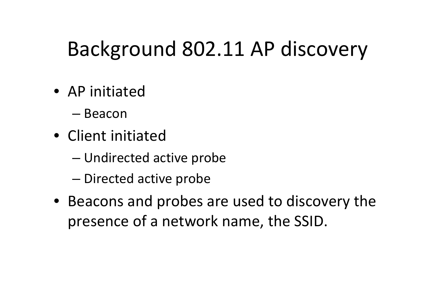### Background 802.11 AP discovery

- AP initiated
	- Beacon
- Client initiated
	- –Undirected active probe
	- and the state of the state – Directed active probe
- Beacons and probes are used to discovery the presence of <sup>a</sup> network name, the SSID.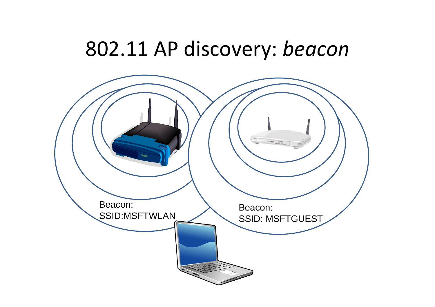#### 802.11 AP discovery: *beacon*

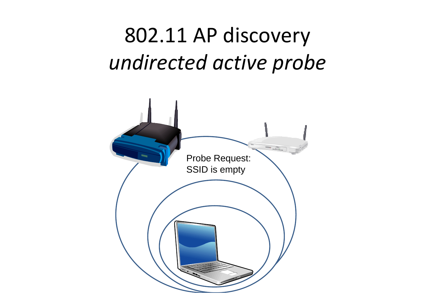## 802.11 AP discovery *undirected active probe*

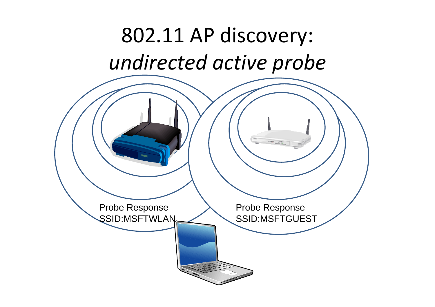### 802.11 AP discovery: *undirected active probe*

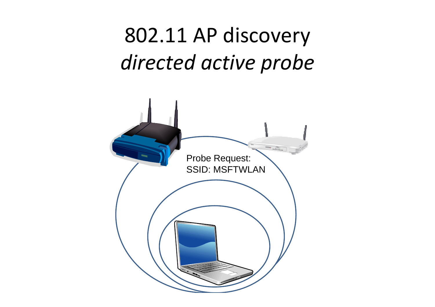## 802.11 AP discovery *directed active probe*

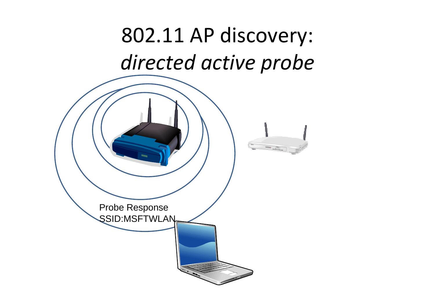## 802.11 AP discovery: *directed active probe*

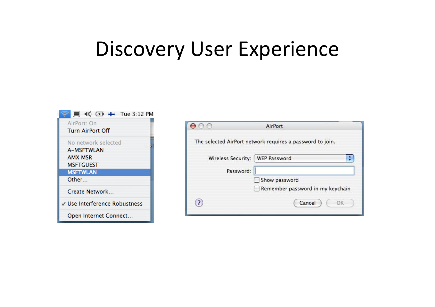#### Discovery User Experience



|                    | AirPort                                                   |
|--------------------|-----------------------------------------------------------|
|                    | The selected AirPort network requires a password to join. |
| Wireless Security: | $\frac{1}{\tau}$<br><b>WEP Password</b>                   |
| Password:          |                                                           |
|                    | Show password                                             |
|                    | Remember password in my keychain                          |
| $\overline{?}$     | Cancel<br>OK                                              |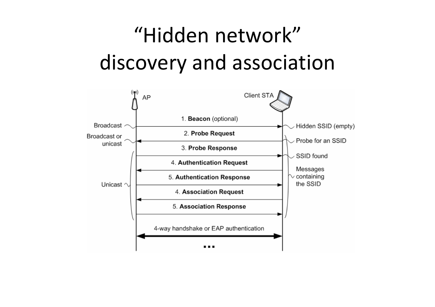# "Hidden network" discovery and association

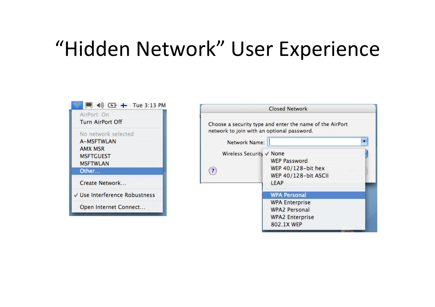#### "Hidden Network" User Experience



|                                            | <b>Closed Network</b>                                                                                        |  |
|--------------------------------------------|--------------------------------------------------------------------------------------------------------------|--|
| network to join with an optional password. | Choose a security type and enter the name of the AirPort                                                     |  |
| Network Name:                              |                                                                                                              |  |
| Wireless Security √ None<br>$\overline{?}$ | <b>WEP Password</b><br>WEP 40/128-bit hex<br>WEP 40/128-bit ASCII<br>LEAP                                    |  |
|                                            | <b>WPA Personal</b><br><b>WPA Enterprise</b><br><b>WPA2 Personal</b><br><b>WPA2 Enterprise</b><br>802.1X WEP |  |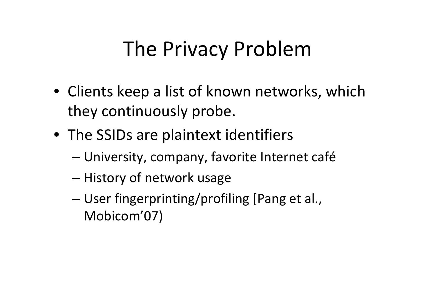### The Privacy Problem

- Clients keep <sup>a</sup> list of known networks, which they continuously probe.
- The SSIDs are plaintext identifiers
	- and the state of the state University, company, favorite Internet café
	- and the state of the state – History of network usage
	- – User fingerprinting/profiling [Pang et al., Mobicom'07)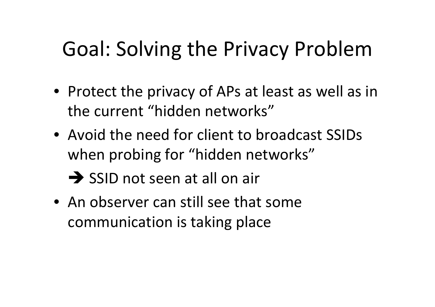### Goal: Solving the Privacy Problem

- Protect the privacy of APs at least as well as in the current "hidden networks"
- Avoid the need for client to broadcast SSIDs when probing for "hidden networks"

 $\rightarrow$  SSID not seen at all on air

• An observer can still see that some communication is taking place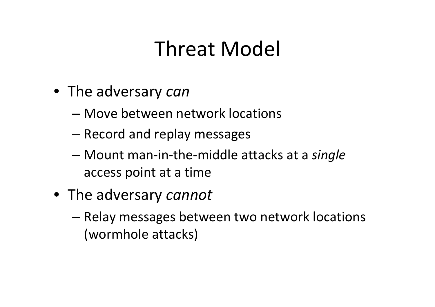#### Threat Model

- The adversary *can*
	- Move between network locations
	- and the state of the state – Record and replay messages
	- – Mount man‐in‐the‐middle attacks at <sup>a</sup> *single* access point at <sup>a</sup> time
- The adversary *cannot*
	- – Relay messages between two network locations (wormhole attacks)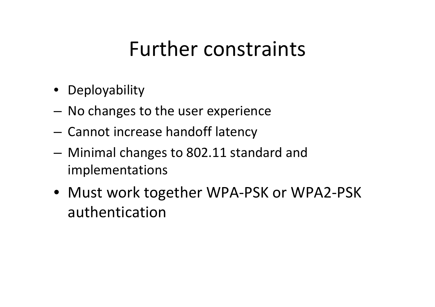#### Further constraints

- Deployability
- – $-$  No changes to the user experience
- – $-$  Cannot increase handoff latency
- and the state of the state Minimal changes to 802.11 standard and implementations
- Must work together WPA‐PSK or WPA2‐PSK authentication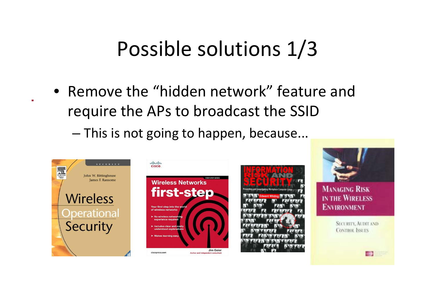#### Possible solutions 1/3

- Remove the "hidden network" feature and require the APs to broadcast the SSID
	- – $-$  This is not going to happen, because...

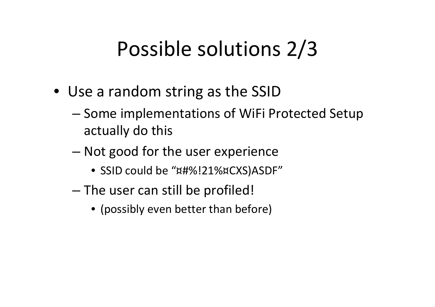#### Possible solutions 2/3

- Use <sup>a</sup> random string as the SSID
	- –– Some implementations of WiFi Protected Setup actually do this
	- – Not good for the user experience
		- SSID could be "¤#%!21%¤CXS)ASDF"
	- and the state of the state  $-$  The user can still be profiled!
		- (possibly even better than before)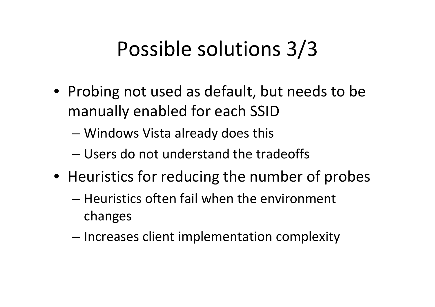### Possible solutions 3/3

- Probing not used as default, but needs to be manually enabled for each SSID
	- –Windows Vista already does this
	- Users do not understand the tradeoffs
- Heuristics for reducing the number of probes
	- Heuristics often fail when the environment changes
	- and the state of the state  $-$  Increases client implementation complexity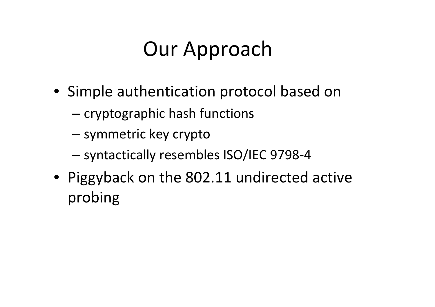### Our Approach

- Simple authentication protocol based on
	- – $-$  cryptographic hash functions
	- and the state of the state — symmetric key crypto
	- –syntactically resembles ISO/IEC 9798‐4
- Piggyback on the 802.11 undirected active probing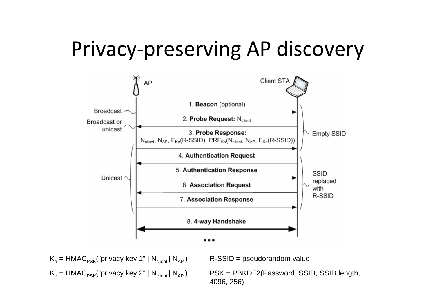### Privacy‐preserving AP discovery



K<sub>a</sub> = HMAC<sub>PSK</sub>("privacy key 1" | N<sub>client</sub> | N<sub>AP</sub> ) R-SSID = pseudorandom value

K<sub>e</sub> = HMAC<sub>PSK</sub>("privacy key 2" | N<sub>client</sub> | N<sub>AP</sub> ) PSK = PBKDF2(Password, SSID, SSID length, 4096, 256)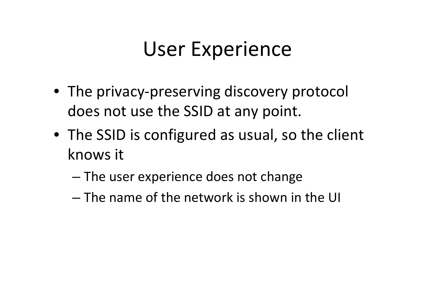#### User Experience

- The privacy‐preserving discovery protocol does not use the SSID at any point.
- The SSID is configured as usual, so the client knows it
	- –– The user experience does not change
	- The name of the network is shown in the UI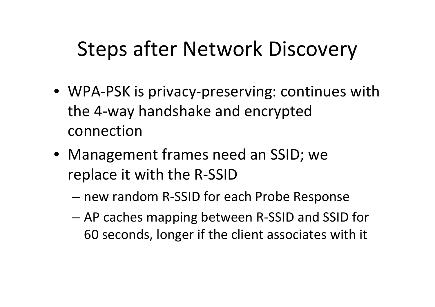#### Steps after Network Discovery

- WPA‐PSK is privacy‐preserving: continues with the 4‐way handshake and encrypted connection
- Management frames need an SSID; we replace it with the R‐SSID
	- new random R‐SSID for each Probe Response
	- – AP caches mapping between R‐SSID and SSID for 60 seconds, longer if the client associates with it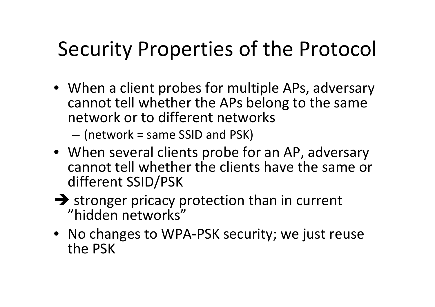#### Security Properties of the Protocol

• When <sup>a</sup> client probes for multiple APs, adversary cannot tell whether the APs belong to the same network or to different networks

–(network <sup>=</sup> same SSID and PSK)

- When several clients probe for an AP, adversary cannot tell whether the clients have the same or different SSID/PSK
- $\rightarrow$  stronger pricacy protection than in current "hidden networks"
- No changes to WPA‐PSK security; we just reuse the PSK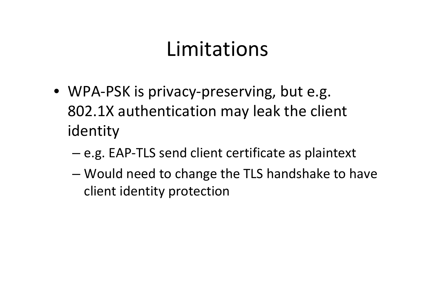#### Limitations

- WPA‐PSK is privacy‐preserving, but e.g. 802.1X authentication may leak the client identity
	- and the state of the state – e.g. EAP-TLS send client certificate as plaintext
	- – Would need to change the TLS handshake to have client identity protection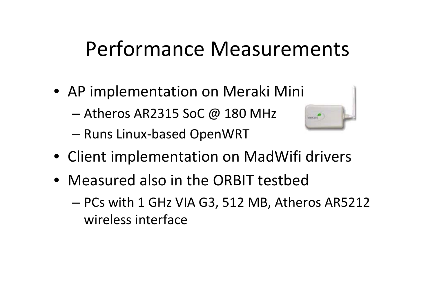#### Performance Measurements

- AP implementation on Meraki Mini
	- Atheros AR2315 SoC @ 180 MHz
	- Runs Linux ‐based OpenWRT



- Client implementation on MadWifi drivers
- Measured also in the ORBIT testbed
	- PCs with 1 GHz VIA G3, 512 MB, Atheros AR5212 wireless interface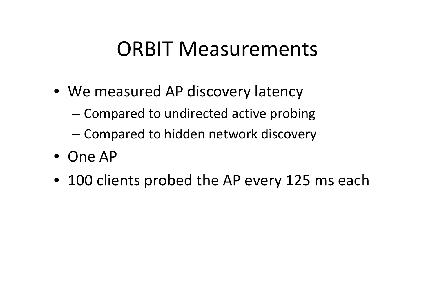#### ORBIT Measurements

- We measured AP discovery latency
	- –– Compared to undirected active probing
	- and the state of the state – Compared to hidden network discovery
- One AP
- 100 clients probed the AP every 125 ms each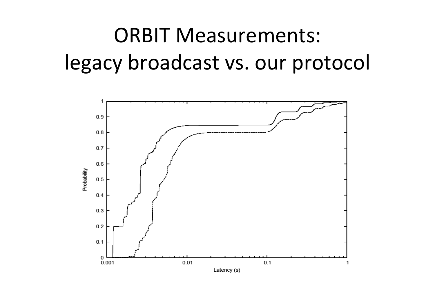## ORBIT Measurements: legacy broadcast vs. our protocol

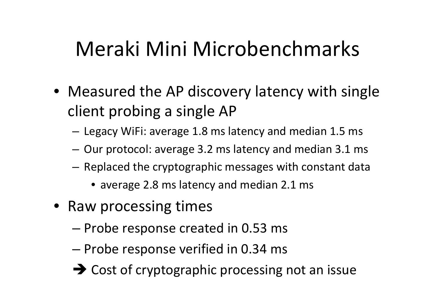### Meraki Mini Microbenchmarks

- Measured the AP discovery latency with single client probing <sup>a</sup> single AP
	- and the state of the  $-$  Legacy WiFi: average 1.8 ms latency and median 1.5 ms
	- and the state of the  $-$  Our protocol: average 3.2 ms latency and median 3.1 ms
	- and the state of the  $-$  Replaced the cryptographic messages with constant data
		- average 2.8 ms latency and median 2.1 ms
- Raw processing times
	- and the state of the state – Probe response created in 0.53 ms
	- and the state of the state  $-$  Probe response verified in 0.34 ms
	- $\rightarrow$  Cost of cryptographic processing not an issue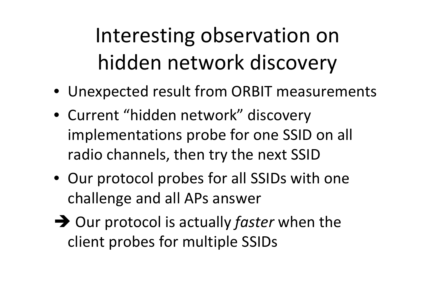# Interesting observation on hidden network discovery

- Unexpected result from ORBIT measurements
- Current "hidden network" discovery implementations probe for one SSID on all radio channels, then try the next SSID
- Our protocol probes for all SSIDs with one challenge and all APs answer
- $\rightarrow$  Our protocol is actually *faster* when the client probes for multiple SSIDs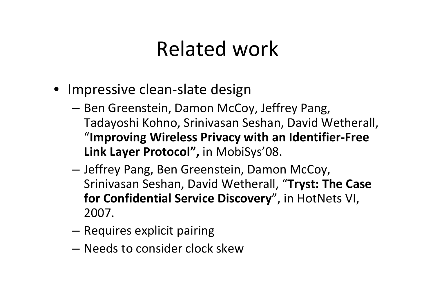#### Related work

- Impressive clean‐slate design
	- –– Ben Greenstein, Damon McCoy, Jeffrey Pang, Tadayoshi Kohno, Srinivasan Seshan, David Wetherall, "**Improving Wireless Privacy with an Identifier‐Free Link Layer Protocol",** in MobiSys'08.
	- – Jeffrey Pang, Ben Greenstein, Damon McCoy, Srinivasan Seshan, David Wetherall, "**Tryst: The Case for Confidential Service Discovery**", in HotNets VI, 2007.
	- –**– Requires explicit pairing**
	- Needs to consider clock skew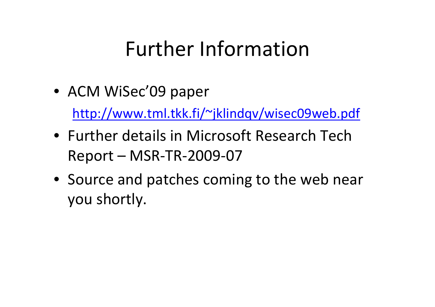#### Further Information

• ACM WiSec'09 paper

<http://www.tml.tkk.fi/~jklindqv/wisec09web.pdf>

- Further details in Microsoft Research Tech Report – MSR‐TR‐2009‐07
- Source and patches coming to the web near you shortly.